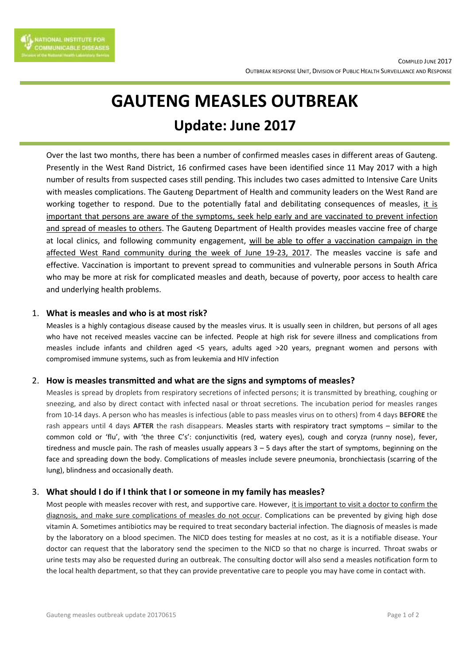

# **GAUTENG MEASLES OUTBREAK Update: June 2017**

Over the last two months, there has been a number of confirmed measles cases in different areas of Gauteng. Presently in the West Rand District, 16 confirmed cases have been identified since 11 May 2017 with a high number of results from suspected cases still pending. This includes two cases admitted to Intensive Care Units with measles complications. The Gauteng Department of Health and community leaders on the West Rand are working together to respond. Due to the potentially fatal and debilitating consequences of measles, it is important that persons are aware of the symptoms, seek help early and are vaccinated to prevent infection and spread of measles to others. The Gauteng Department of Health provides measles vaccine free of charge at local clinics, and following community engagement, will be able to offer a vaccination campaign in the affected West Rand community during the week of June 19-23, 2017. The measles vaccine is safe and effective. Vaccination is important to prevent spread to communities and vulnerable persons in South Africa who may be more at risk for complicated measles and death, because of poverty, poor access to health care and underlying health problems.

### 1. **What is measles and who is at most risk?**

Measles is a highly contagious disease caused by the measles virus. It is usually seen in children, but persons of all ages who have not received measles vaccine can be infected. People at high risk for severe illness and complications from measles include infants and children aged <5 years, adults aged >20 years, pregnant women and persons with compromised immune systems, such as from leukemia and HIV infection

## 2. **How is measles transmitted and what are the signs and symptoms of measles?**

Measles is spread by droplets from respiratory secretions of infected persons; it is transmitted by breathing, coughing or sneezing, and also by direct contact with infected nasal or throat secretions. The incubation period for measles ranges from 10-14 days. A person who has measles is infectious (able to pass measles virus on to others) from 4 days **BEFORE** the rash appears until 4 days **AFTER** the rash disappears. Measles starts with respiratory tract symptoms – similar to the common cold or 'flu', with 'the three C's': conjunctivitis (red, watery eyes), cough and coryza (runny nose), fever, tiredness and muscle pain. The rash of measles usually appears  $3 - 5$  days after the start of symptoms, beginning on the face and spreading down the body. Complications of measles include severe pneumonia, bronchiectasis (scarring of the lung), blindness and occasionally death.

## 3. **What should I do if I think that I or someone in my family has measles?**

Most people with measles recover with rest, and supportive care. However, it is important to visit a doctor to confirm the diagnosis, and make sure complications of measles do not occur. Complications can be prevented by giving high dose vitamin A. Sometimes antibiotics may be required to treat secondary bacterial infection. The diagnosis of measles is made by the laboratory on a blood specimen. The NICD does testing for measles at no cost, as it is a notifiable disease. Your doctor can request that the laboratory send the specimen to the NICD so that no charge is incurred. Throat swabs or urine tests may also be requested during an outbreak. The consulting doctor will also send a measles notification form to the local health department, so that they can provide preventative care to people you may have come in contact with.